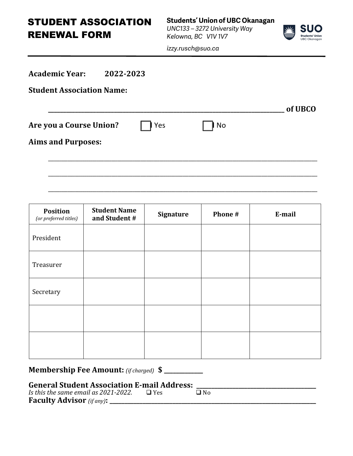STUDENT ASSOCIATION RENEWAL FORM

**Students' Union of UBC Okanagan** *UNC133 – 3272 University Way Kelowna, BC V1V 1V7*



*izzy.rusch@suo.ca*

| <b>Academic Year:</b><br>2022-2023 |     |               |         |
|------------------------------------|-----|---------------|---------|
| <b>Student Association Name:</b>   |     |               |         |
|                                    |     |               | of UBCO |
| Are you a Course Union?            | Yes | $\mathsf{No}$ |         |
| <b>Aims and Purposes:</b>          |     |               |         |
|                                    |     |               |         |
|                                    |     |               |         |
|                                    |     |               |         |

| <b>Position</b><br>(or preferred titles) | <b>Student Name</b><br>and Student # | <b>Signature</b> | Phone # | E-mail |  |
|------------------------------------------|--------------------------------------|------------------|---------|--------|--|
| President                                |                                      |                  |         |        |  |
| Treasurer                                |                                      |                  |         |        |  |
| Secretary                                |                                      |                  |         |        |  |
|                                          |                                      |                  |         |        |  |
|                                          |                                      |                  |         |        |  |

**Membership Fee Amount:** *(if charged)*  $\$$ 

# **General Student Association E-mail Address: \_\_\_\_\_\_\_\_\_\_\_\_\_\_\_\_\_\_\_\_\_\_\_\_\_\_\_\_\_\_\_\_\_\_\_\_\_\_\_\_**

**Faculty Advisor** *(if any)***: \_\_\_\_\_\_\_\_\_\_\_\_\_\_\_\_\_\_\_\_\_\_\_\_\_\_\_\_\_\_\_\_\_\_\_\_\_\_\_\_\_\_\_\_\_\_\_\_\_\_\_\_\_\_\_\_\_\_\_\_\_\_\_\_\_\_\_\_\_** *Is* this the same email as 2021-2022.  $\Box$  Yes  $\Box$  No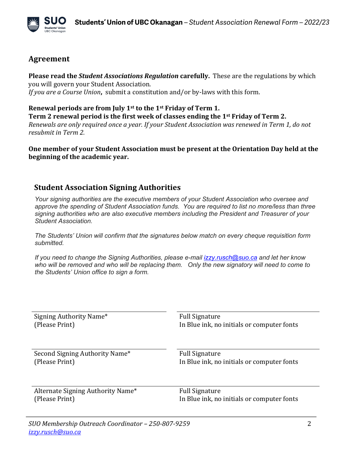

## **Agreement**

**Please read the** *Student Associations Regulation* **carefully.** These are the regulations by which you will govern your Student Association. *If you are a Course Union*, submit a constitution and/or by-laws with this form.

**Renewal periods are from July 1st to the 1st Friday of Term 1.** 

**Term 2 renewal period is the first week of classes ending the 1<sup>st</sup> Friday of Term 2.** *Renewals are only required once a year. If your Student Association was renewed in Term 1, do not resubmit in Term 2.* 

**One member of your Student Association must be present at the Orientation Day held at the** beginning of the academic year.

#### **Student Association Signing Authorities**

*Your signing authorities are the executive members of your Student Association who oversee and approve the spending of Student Association funds. You are required to list no more/less than three signing authorities who are also executive members including the President and Treasurer of your Student Association.*

*The Students' Union will confirm that the signatures below match on every cheque requisition form submitted.*

*If you need to change the Signing Authorities, please e-mail izzy.rusch@suo.ca and let her know who will be removed and who will be replacing them. Only the new signatory will need to come to the Students' Union office to sign a form.*

| Signing Authority Name*           | <b>Full Signature</b>                      |  |  |
|-----------------------------------|--------------------------------------------|--|--|
| (Please Print)                    | In Blue ink, no initials or computer fonts |  |  |
| Second Signing Authority Name*    | <b>Full Signature</b>                      |  |  |
| (Please Print)                    | In Blue ink, no initials or computer fonts |  |  |
| Alternate Signing Authority Name* | <b>Full Signature</b>                      |  |  |
| (Please Print)                    | In Blue ink, no initials or computer fonts |  |  |